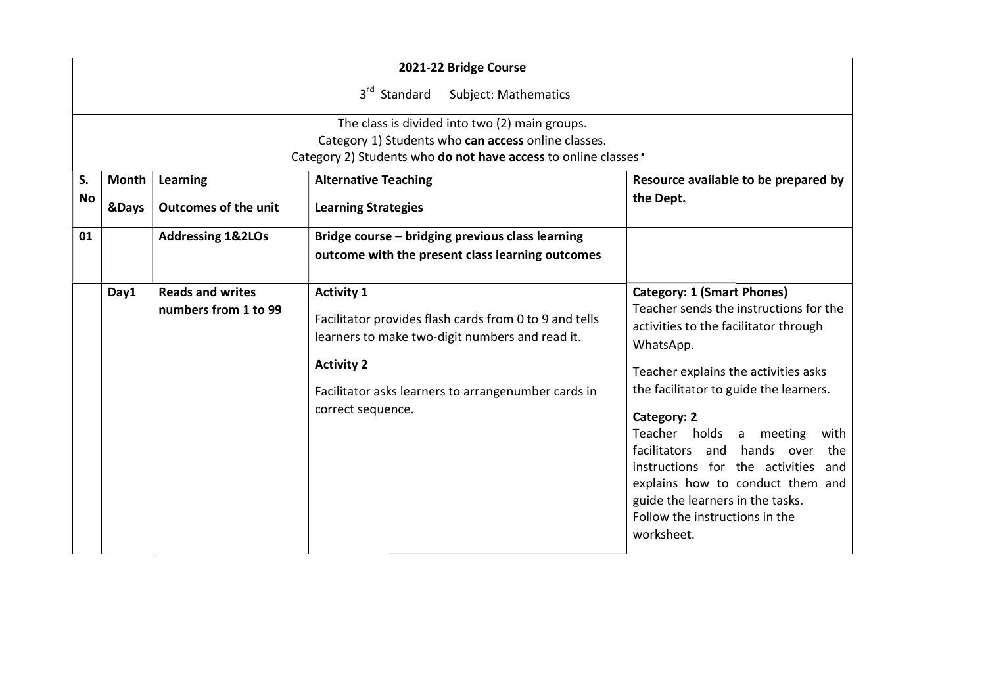|          |                                                                                                                                     |                                                 | 2021-22 Bridge Course                                                                                                                                                                                                           |                                                                                                                                                                                                                                                                                                                                                                                                                                                                                  |
|----------|-------------------------------------------------------------------------------------------------------------------------------------|-------------------------------------------------|---------------------------------------------------------------------------------------------------------------------------------------------------------------------------------------------------------------------------------|----------------------------------------------------------------------------------------------------------------------------------------------------------------------------------------------------------------------------------------------------------------------------------------------------------------------------------------------------------------------------------------------------------------------------------------------------------------------------------|
|          |                                                                                                                                     |                                                 | 3 <sup>rd</sup> Standard<br><b>Subject: Mathematics</b>                                                                                                                                                                         |                                                                                                                                                                                                                                                                                                                                                                                                                                                                                  |
|          |                                                                                                                                     |                                                 | The class is divided into two (2) main groups.<br>Category 1) Students who can access online classes.<br>Category 2) Students who do not have access to online classes                                                          |                                                                                                                                                                                                                                                                                                                                                                                                                                                                                  |
| S.<br>No | Learning<br><b>Alternative Teaching</b><br>Month<br>the Dept.<br><b>Outcomes of the unit</b><br>&Days<br><b>Learning Strategies</b> |                                                 | Resource available to be prepared by                                                                                                                                                                                            |                                                                                                                                                                                                                                                                                                                                                                                                                                                                                  |
| 01       |                                                                                                                                     | <b>Addressing 1&amp;2LOs</b>                    | Bridge course - bridging previous class learning<br>outcome with the present class learning outcomes                                                                                                                            |                                                                                                                                                                                                                                                                                                                                                                                                                                                                                  |
|          | Day1                                                                                                                                | <b>Reads and writes</b><br>numbers from 1 to 99 | <b>Activity 1</b><br>Facilitator provides flash cards from 0 to 9 and tells<br>learners to make two-digit numbers and read it.<br><b>Activity 2</b><br>Facilitator asks learners to arrangenumber cards in<br>correct sequence. | <b>Category: 1 (Smart Phones)</b><br>Teacher sends the instructions for the<br>activities to the facilitator through<br>WhatsApp.<br>Teacher explains the activities asks<br>the facilitator to guide the learners.<br>Category: 2<br>Teacher holds a<br>meeting<br>with<br>facilitators and<br>hands over<br>the<br>instructions for the activities and<br>explains how to conduct them and<br>guide the learners in the tasks.<br>Follow the instructions in the<br>worksheet. |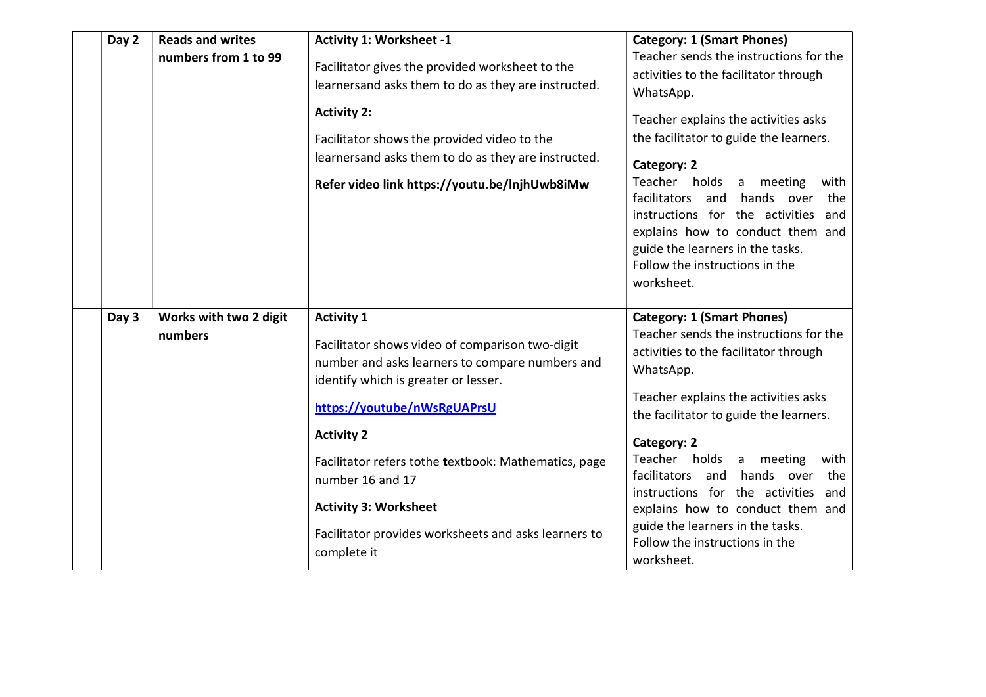| Day 2 | <b>Reads and writes</b>           | <b>Activity 1: Worksheet -1</b>                                                                                                                                                                                                                                                                                                                                                                        | <b>Category: 1 (Smart Phones)</b>                                                                                                                                                                                                                                                                                                                                                                                                                                                      |
|-------|-----------------------------------|--------------------------------------------------------------------------------------------------------------------------------------------------------------------------------------------------------------------------------------------------------------------------------------------------------------------------------------------------------------------------------------------------------|----------------------------------------------------------------------------------------------------------------------------------------------------------------------------------------------------------------------------------------------------------------------------------------------------------------------------------------------------------------------------------------------------------------------------------------------------------------------------------------|
|       | numbers from 1 to 99              | Facilitator gives the provided worksheet to the<br>learnersand asks them to do as they are instructed.<br><b>Activity 2:</b><br>Facilitator shows the provided video to the<br>learnersand asks them to do as they are instructed.<br>Refer video link https://youtu.be/lnjhUwb8iMw                                                                                                                    | Teacher sends the instructions for the<br>activities to the facilitator through<br>WhatsApp.<br>Teacher explains the activities asks<br>the facilitator to guide the learners.<br>Category: 2<br>Teacher holds<br>a meeting<br>with<br>facilitators and<br>hands over<br>the<br>instructions for the activities<br>and<br>explains how to conduct them and<br>guide the learners in the tasks.<br>Follow the instructions in the<br>worksheet.                                         |
| Day 3 | Works with two 2 digit<br>numbers | <b>Activity 1</b><br>Facilitator shows video of comparison two-digit<br>number and asks learners to compare numbers and<br>identify which is greater or lesser.<br>https://youtube/nWsRgUAPrsU<br><b>Activity 2</b><br>Facilitator refers tothe textbook: Mathematics, page<br>number 16 and 17<br><b>Activity 3: Worksheet</b><br>Facilitator provides worksheets and asks learners to<br>complete it | <b>Category: 1 (Smart Phones)</b><br>Teacher sends the instructions for the<br>activities to the facilitator through<br>WhatsApp.<br>Teacher explains the activities asks<br>the facilitator to guide the learners.<br>Category: 2<br>Teacher holds<br>a meeting<br>with<br>facilitators<br>hands over<br>and<br>the<br>instructions for the activities<br>and<br>explains how to conduct them and<br>guide the learners in the tasks.<br>Follow the instructions in the<br>worksheet. |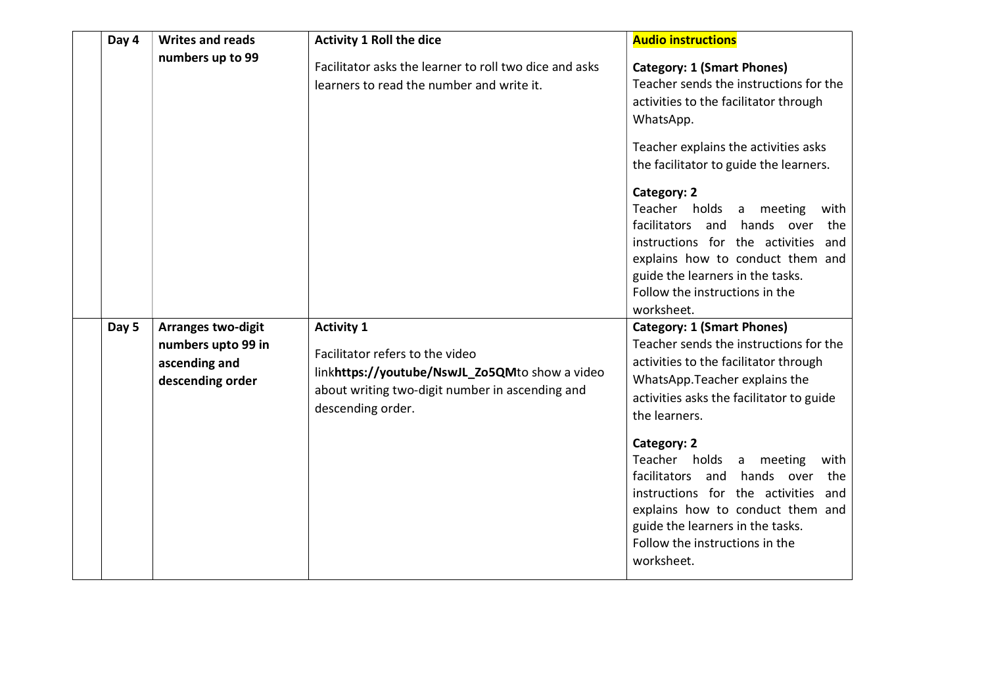| Day 4 | <b>Writes and reads</b>                                                              | <b>Activity 1 Roll the dice</b>                                                                                                                                                | <b>Audio instructions</b>                                                                                                                                                                                                                                                                                                                                                                                                                                                          |
|-------|--------------------------------------------------------------------------------------|--------------------------------------------------------------------------------------------------------------------------------------------------------------------------------|------------------------------------------------------------------------------------------------------------------------------------------------------------------------------------------------------------------------------------------------------------------------------------------------------------------------------------------------------------------------------------------------------------------------------------------------------------------------------------|
|       | numbers up to 99                                                                     | Facilitator asks the learner to roll two dice and asks<br>learners to read the number and write it.                                                                            | <b>Category: 1 (Smart Phones)</b><br>Teacher sends the instructions for the<br>activities to the facilitator through<br>WhatsApp.<br>Teacher explains the activities asks<br>the facilitator to guide the learners.<br>Category: 2<br>Teacher holds a meeting<br>with<br>facilitators and<br>hands over<br>the<br>instructions for the activities and<br>explains how to conduct them and<br>guide the learners in the tasks.<br>Follow the instructions in the<br>worksheet.      |
| Day 5 | <b>Arranges two-digit</b><br>numbers upto 99 in<br>ascending and<br>descending order | <b>Activity 1</b><br>Facilitator refers to the video<br>linkhttps://youtube/NswJL_Zo5QMto show a video<br>about writing two-digit number in ascending and<br>descending order. | <b>Category: 1 (Smart Phones)</b><br>Teacher sends the instructions for the<br>activities to the facilitator through<br>WhatsApp.Teacher explains the<br>activities asks the facilitator to guide<br>the learners.<br>Category: 2<br>Teacher holds<br>a meeting<br>with<br>facilitators and<br>hands over<br>the<br>instructions for the activities<br>and<br>explains how to conduct them and<br>guide the learners in the tasks.<br>Follow the instructions in the<br>worksheet. |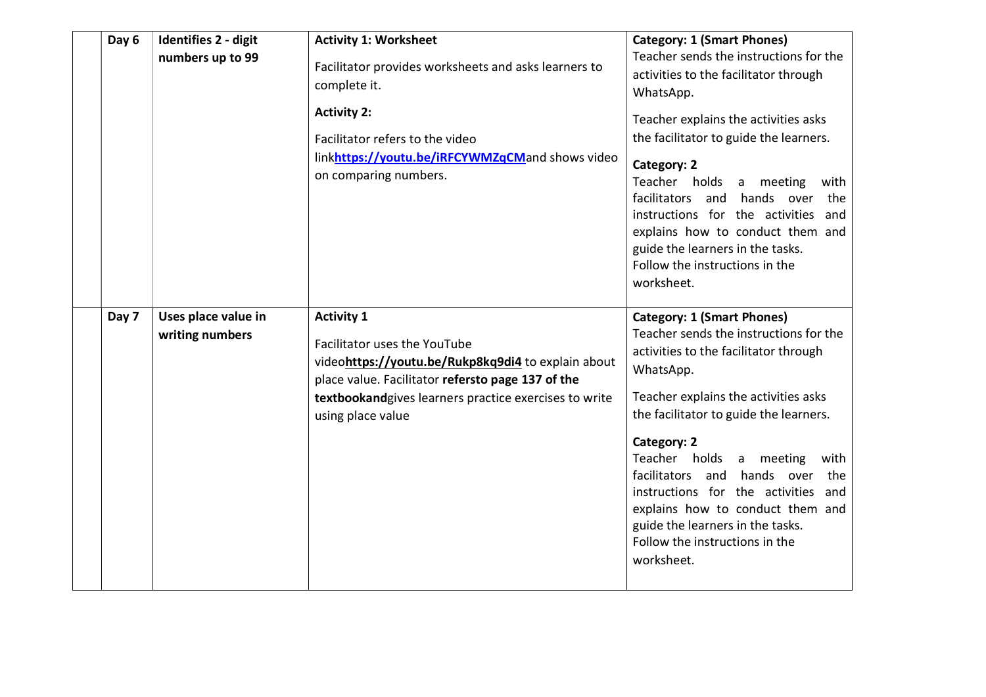| Day 6<br><b>Identifies 2 - digit</b><br>numbers up to 99 | <b>Activity 1: Worksheet</b><br>Facilitator provides worksheets and asks learners to<br>complete it.<br><b>Activity 2:</b><br>Facilitator refers to the video<br>linkhttps://youtu.be/iRFCYWMZqCMand shows video<br>on comparing numbers.  | <b>Category: 1 (Smart Phones)</b><br>Teacher sends the instructions for the<br>activities to the facilitator through<br>WhatsApp.<br>Teacher explains the activities asks<br>the facilitator to guide the learners.<br>Category: 2<br>Teacher holds a meeting<br>with<br>hands over<br>facilitators and<br>the<br>instructions for the activities<br>and<br>explains how to conduct them and<br>guide the learners in the tasks.<br>Follow the instructions in the<br>worksheet.    |
|----------------------------------------------------------|--------------------------------------------------------------------------------------------------------------------------------------------------------------------------------------------------------------------------------------------|-------------------------------------------------------------------------------------------------------------------------------------------------------------------------------------------------------------------------------------------------------------------------------------------------------------------------------------------------------------------------------------------------------------------------------------------------------------------------------------|
| Day 7<br>Uses place value in<br>writing numbers          | <b>Activity 1</b><br>Facilitator uses the YouTube<br>videohttps://youtu.be/Rukp8kq9di4 to explain about<br>place value. Facilitator refersto page 137 of the<br>textbookandgives learners practice exercises to write<br>using place value | <b>Category: 1 (Smart Phones)</b><br>Teacher sends the instructions for the<br>activities to the facilitator through<br>WhatsApp.<br>Teacher explains the activities asks<br>the facilitator to guide the learners.<br>Category: 2<br>Teacher holds a<br>meeting<br>with<br>facilitators and<br>hands over<br>the<br>instructions for the activities<br>and<br>explains how to conduct them and<br>guide the learners in the tasks.<br>Follow the instructions in the<br>worksheet. |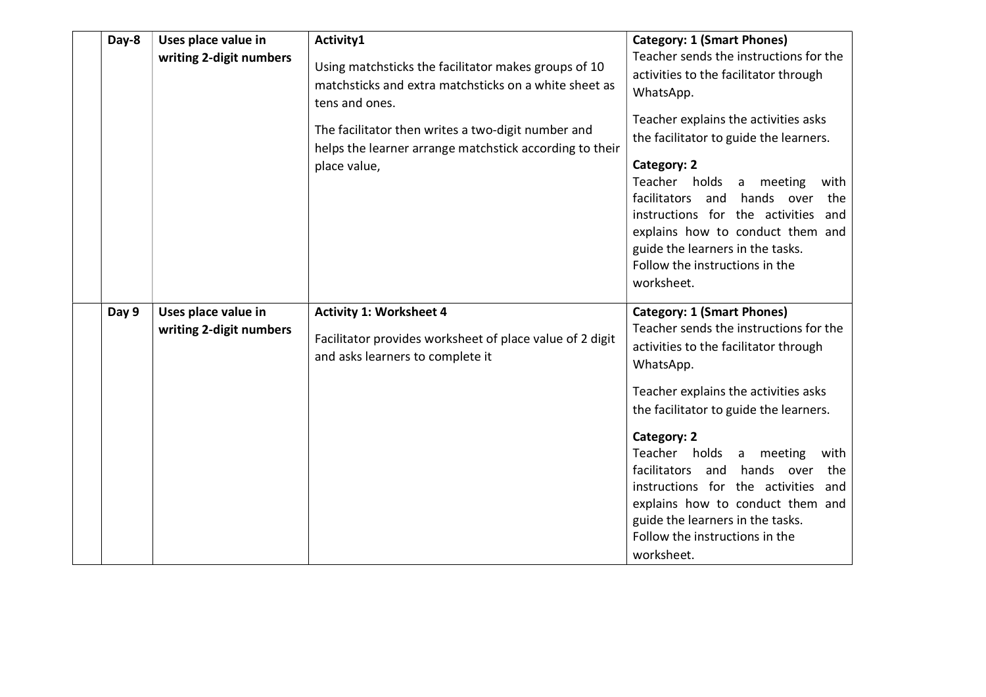| Day-8 | Uses place value in<br>writing 2-digit numbers | Activity1<br>Using matchsticks the facilitator makes groups of 10<br>matchsticks and extra matchsticks on a white sheet as<br>tens and ones.<br>The facilitator then writes a two-digit number and<br>helps the learner arrange matchstick according to their<br>place value, | <b>Category: 1 (Smart Phones)</b><br>Teacher sends the instructions for the<br>activities to the facilitator through<br>WhatsApp.<br>Teacher explains the activities asks<br>the facilitator to guide the learners.<br><b>Category: 2</b><br>Teacher holds<br>a meeting<br>with<br>facilitators and<br>hands over<br>the<br>instructions for the activities and<br>explains how to conduct them and<br>guide the learners in the tasks.<br>Follow the instructions in the<br>worksheet. |
|-------|------------------------------------------------|-------------------------------------------------------------------------------------------------------------------------------------------------------------------------------------------------------------------------------------------------------------------------------|-----------------------------------------------------------------------------------------------------------------------------------------------------------------------------------------------------------------------------------------------------------------------------------------------------------------------------------------------------------------------------------------------------------------------------------------------------------------------------------------|
| Day 9 | Uses place value in<br>writing 2-digit numbers | <b>Activity 1: Worksheet 4</b><br>Facilitator provides worksheet of place value of 2 digit<br>and asks learners to complete it                                                                                                                                                | <b>Category: 1 (Smart Phones)</b><br>Teacher sends the instructions for the<br>activities to the facilitator through<br>WhatsApp.<br>Teacher explains the activities asks<br>the facilitator to guide the learners.<br>Category: 2<br>Teacher holds<br>a meeting<br>with<br>facilitators and<br>hands over<br>the<br>instructions for the activities and<br>explains how to conduct them and<br>guide the learners in the tasks.<br>Follow the instructions in the<br>worksheet.        |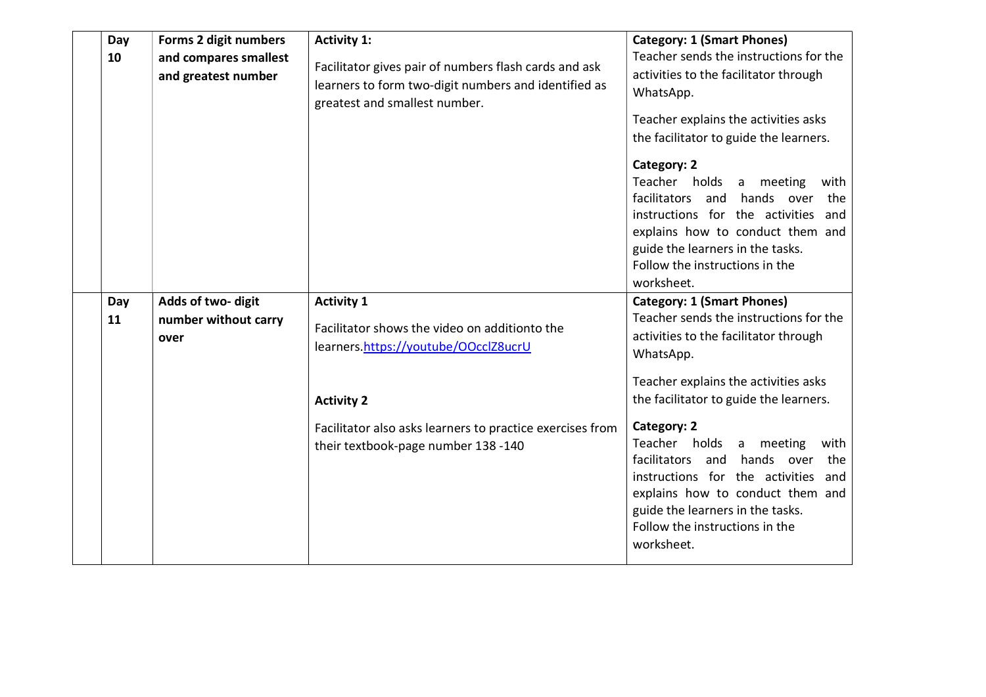| Day<br>10 | Forms 2 digit numbers<br>and compares smallest<br>and greatest number | <b>Activity 1:</b><br>Facilitator gives pair of numbers flash cards and ask<br>learners to form two-digit numbers and identified as<br>greatest and smallest number.                                                                | <b>Category: 1 (Smart Phones)</b><br>Teacher sends the instructions for the<br>activities to the facilitator through<br>WhatsApp.<br>Teacher explains the activities asks<br>the facilitator to guide the learners.<br>Category: 2<br>Teacher holds<br>a meeting<br>with<br>facilitators and<br>hands over<br>the<br>instructions for the activities<br>and<br>explains how to conduct them and<br>guide the learners in the tasks.<br>Follow the instructions in the<br>worksheet.    |
|-----------|-----------------------------------------------------------------------|-------------------------------------------------------------------------------------------------------------------------------------------------------------------------------------------------------------------------------------|----------------------------------------------------------------------------------------------------------------------------------------------------------------------------------------------------------------------------------------------------------------------------------------------------------------------------------------------------------------------------------------------------------------------------------------------------------------------------------------|
| Day<br>11 | Adds of two-digit<br>number without carry<br>over                     | <b>Activity 1</b><br>Facilitator shows the video on additionto the<br>learners.https://youtube/OOcclZ8ucrU<br><b>Activity 2</b><br>Facilitator also asks learners to practice exercises from<br>their textbook-page number 138 -140 | <b>Category: 1 (Smart Phones)</b><br>Teacher sends the instructions for the<br>activities to the facilitator through<br>WhatsApp.<br>Teacher explains the activities asks<br>the facilitator to guide the learners.<br>Category: 2<br>Teacher holds<br>a meeting<br>with<br>hands over<br>facilitators<br>and<br>the<br>instructions for the activities<br>and<br>explains how to conduct them and<br>guide the learners in the tasks.<br>Follow the instructions in the<br>worksheet. |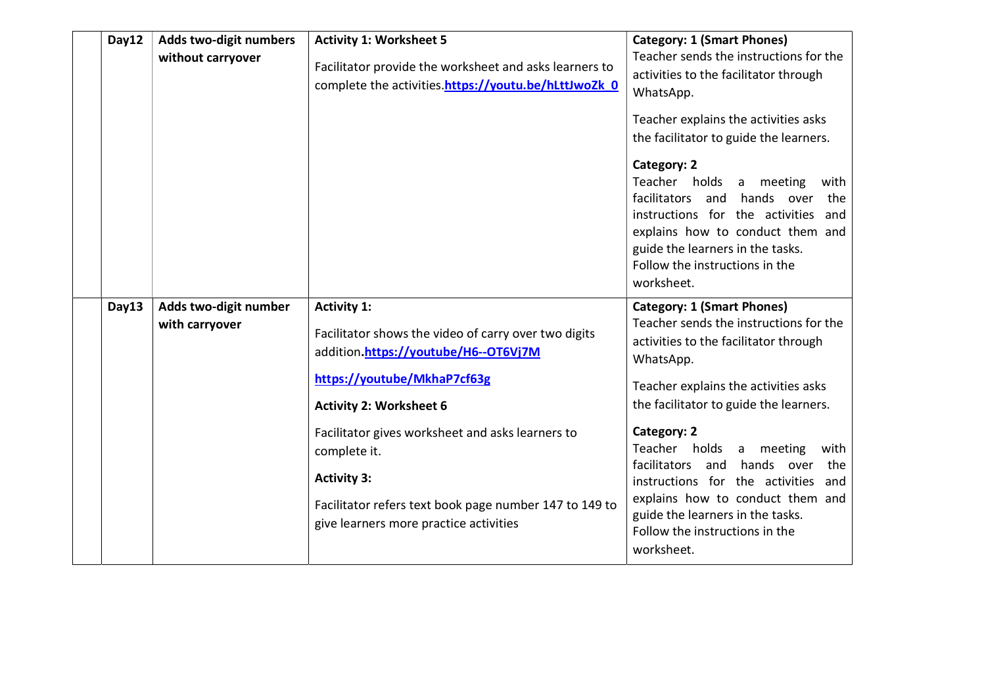| Day12 | Adds two-digit numbers<br>without carryover | <b>Activity 1: Worksheet 5</b><br>Facilitator provide the worksheet and asks learners to<br>complete the activities.https://youtu.be/hLttJwoZk 0                                                                                                                                                                                                                                  | <b>Category: 1 (Smart Phones)</b><br>Teacher sends the instructions for the<br>activities to the facilitator through<br>WhatsApp.<br>Teacher explains the activities asks<br>the facilitator to guide the learners.<br>Category: 2<br>Teacher holds<br>a meeting<br>with<br>facilitators and<br>hands over<br>the<br>instructions for the activities<br>and<br>explains how to conduct them and<br>guide the learners in the tasks.<br>Follow the instructions in the<br>worksheet.        |
|-------|---------------------------------------------|-----------------------------------------------------------------------------------------------------------------------------------------------------------------------------------------------------------------------------------------------------------------------------------------------------------------------------------------------------------------------------------|--------------------------------------------------------------------------------------------------------------------------------------------------------------------------------------------------------------------------------------------------------------------------------------------------------------------------------------------------------------------------------------------------------------------------------------------------------------------------------------------|
| Day13 | Adds two-digit number<br>with carryover     | <b>Activity 1:</b><br>Facilitator shows the video of carry over two digits<br>addition.https://youtube/H6--OT6Vj7M<br>https://youtube/MkhaP7cf63g<br><b>Activity 2: Worksheet 6</b><br>Facilitator gives worksheet and asks learners to<br>complete it.<br><b>Activity 3:</b><br>Facilitator refers text book page number 147 to 149 to<br>give learners more practice activities | <b>Category: 1 (Smart Phones)</b><br>Teacher sends the instructions for the<br>activities to the facilitator through<br>WhatsApp.<br>Teacher explains the activities asks<br>the facilitator to guide the learners.<br><b>Category: 2</b><br>Teacher holds a<br>meeting<br>with<br>facilitators and<br>hands over<br>the<br>instructions for the activities<br>and<br>explains how to conduct them and<br>guide the learners in the tasks.<br>Follow the instructions in the<br>worksheet. |